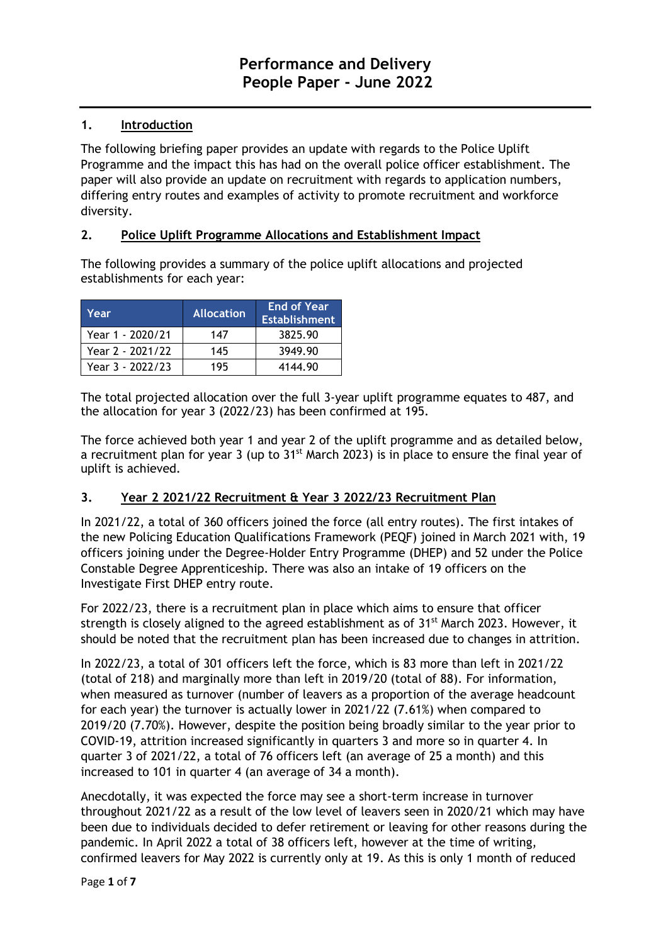## **1. Introduction**

The following briefing paper provides an update with regards to the Police Uplift Programme and the impact this has had on the overall police officer establishment. The paper will also provide an update on recruitment with regards to application numbers, differing entry routes and examples of activity to promote recruitment and workforce diversity.

### **2. Police Uplift Programme Allocations and Establishment Impact**

The following provides a summary of the police uplift allocations and projected establishments for each year:

| Year             | <b>Allocation</b> | <b>End of Year</b><br><b>Establishment</b> |
|------------------|-------------------|--------------------------------------------|
| Year 1 - 2020/21 | 147               | 3825.90                                    |
| Year 2 - 2021/22 | 145               | 3949.90                                    |
| Year 3 - 2022/23 | 195               | 4144.90                                    |

The total projected allocation over the full 3-year uplift programme equates to 487, and the allocation for year 3 (2022/23) has been confirmed at 195.

The force achieved both year 1 and year 2 of the uplift programme and as detailed below, a recruitment plan for year 3 (up to  $31<sup>st</sup>$  March 2023) is in place to ensure the final year of uplift is achieved.

### **3. Year 2 2021/22 Recruitment & Year 3 2022/23 Recruitment Plan**

In 2021/22, a total of 360 officers joined the force (all entry routes). The first intakes of the new Policing Education Qualifications Framework (PEQF) joined in March 2021 with, 19 officers joining under the Degree-Holder Entry Programme (DHEP) and 52 under the Police Constable Degree Apprenticeship. There was also an intake of 19 officers on the Investigate First DHEP entry route.

For 2022/23, there is a recruitment plan in place which aims to ensure that officer strength is closely aligned to the agreed establishment as of 31<sup>st</sup> March 2023. However, it should be noted that the recruitment plan has been increased due to changes in attrition.

In 2022/23, a total of 301 officers left the force, which is 83 more than left in 2021/22 (total of 218) and marginally more than left in 2019/20 (total of 88). For information, when measured as turnover (number of leavers as a proportion of the average headcount for each year) the turnover is actually lower in 2021/22 (7.61%) when compared to 2019/20 (7.70%). However, despite the position being broadly similar to the year prior to COVID-19, attrition increased significantly in quarters 3 and more so in quarter 4. In quarter 3 of 2021/22, a total of 76 officers left (an average of 25 a month) and this increased to 101 in quarter 4 (an average of 34 a month).

Anecdotally, it was expected the force may see a short-term increase in turnover throughout 2021/22 as a result of the low level of leavers seen in 2020/21 which may have been due to individuals decided to defer retirement or leaving for other reasons during the pandemic. In April 2022 a total of 38 officers left, however at the time of writing, confirmed leavers for May 2022 is currently only at 19. As this is only 1 month of reduced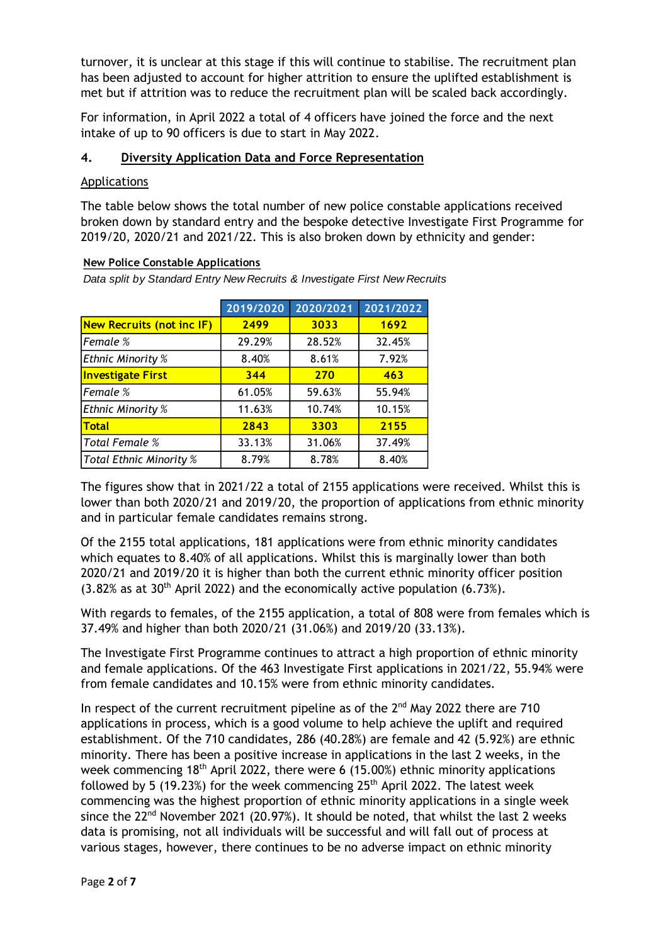turnover, it is unclear at this stage if this will continue to stabilise. The recruitment plan has been adjusted to account for higher attrition to ensure the uplifted establishment is met but if attrition was to reduce the recruitment plan will be scaled back accordingly.

For information, in April 2022 a total of 4 officers have joined the force and the next intake of up to 90 officers is due to start in May 2022.

#### **4. Diversity Application Data and Force Representation**

#### Applications

The table below shows the total number of new police constable applications received broken down by standard entry and the bespoke detective Investigate First Programme for 2019/20, 2020/21 and 2021/22. This is also broken down by ethnicity and gender:

#### **New Police Constable Applications**

*Data split by Standard Entry New Recruits & Investigate First New Recruits*

|                                  | 2019/2020 | 2020/2021 | 2021/2022 |
|----------------------------------|-----------|-----------|-----------|
| <b>New Recruits (not inc IF)</b> | 2499      | 3033      | 1692      |
| Female %                         | 29.29%    | 28.52%    | 32.45%    |
| <b>Ethnic Minority %</b>         | 8.40%     | 8.61%     | 7.92%     |
| <b>Investigate First</b>         | 344       | 270       | 463       |
| Female %                         | 61.05%    | 59.63%    | 55.94%    |
| <b>Ethnic Minority %</b>         | 11.63%    | 10.74%    | 10.15%    |
| <b>Total</b>                     | 2843      | 3303      | 2155      |
| <b>Total Female %</b>            | 33.13%    | 31.06%    | 37.49%    |
| <b>Total Ethnic Minority %</b>   | 8.79%     | 8.78%     | 8.40%     |

The figures show that in 2021/22 a total of 2155 applications were received. Whilst this is lower than both 2020/21 and 2019/20, the proportion of applications from ethnic minority and in particular female candidates remains strong.

Of the 2155 total applications, 181 applications were from ethnic minority candidates which equates to 8.40% of all applications. Whilst this is marginally lower than both 2020/21 and 2019/20 it is higher than both the current ethnic minority officer position  $(3.82\%$  as at 30<sup>th</sup> April 2022) and the economically active population  $(6.73\%).$ 

With regards to females, of the 2155 application, a total of 808 were from females which is 37.49% and higher than both 2020/21 (31.06%) and 2019/20 (33.13%).

The Investigate First Programme continues to attract a high proportion of ethnic minority and female applications. Of the 463 Investigate First applications in 2021/22, 55.94% were from female candidates and 10.15% were from ethnic minority candidates.

In respect of the current recruitment pipeline as of the  $2^{nd}$  May 2022 there are 710 applications in process, which is a good volume to help achieve the uplift and required establishment. Of the 710 candidates, 286 (40.28%) are female and 42 (5.92%) are ethnic minority. There has been a positive increase in applications in the last 2 weeks, in the week commencing 18<sup>th</sup> April 2022, there were 6 (15.00%) ethnic minority applications followed by 5 (19.23%) for the week commencing  $25<sup>th</sup>$  April 2022. The latest week commencing was the highest proportion of ethnic minority applications in a single week since the  $22^{nd}$  November 2021 (20.97%). It should be noted, that whilst the last 2 weeks data is promising, not all individuals will be successful and will fall out of process at various stages, however, there continues to be no adverse impact on ethnic minority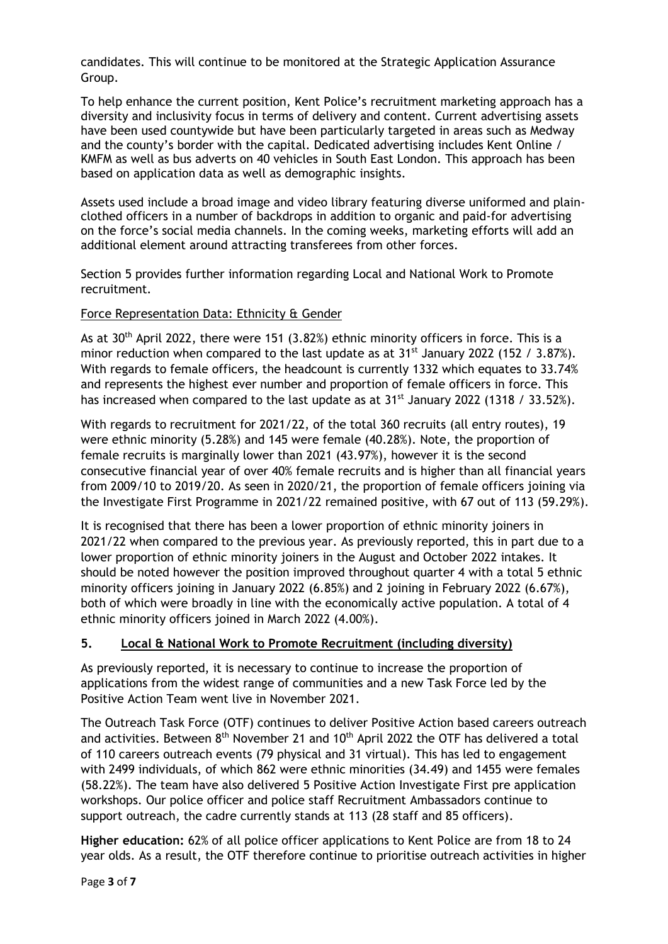candidates. This will continue to be monitored at the Strategic Application Assurance Group.

To help enhance the current position, Kent Police's recruitment marketing approach has a diversity and inclusivity focus in terms of delivery and content. Current advertising assets have been used countywide but have been particularly targeted in areas such as Medway and the county's border with the capital. Dedicated advertising includes Kent Online / KMFM as well as bus adverts on 40 vehicles in South East London. This approach has been based on application data as well as demographic insights.

Assets used include a broad image and video library featuring diverse uniformed and plainclothed officers in a number of backdrops in addition to organic and paid-for advertising on the force's social media channels. In the coming weeks, marketing efforts will add an additional element around attracting transferees from other forces.

Section 5 provides further information regarding Local and National Work to Promote recruitment.

### Force Representation Data: Ethnicity & Gender

As at 30<sup>th</sup> April 2022, there were 151 (3.82%) ethnic minority officers in force. This is a minor reduction when compared to the last update as at  $31<sup>st</sup>$  January 2022 (152 / 3.87%). With regards to female officers, the headcount is currently 1332 which equates to 33.74% and represents the highest ever number and proportion of female officers in force. This has increased when compared to the last update as at  $31<sup>st</sup>$  January 2022 (1318 / 33.52%).

With regards to recruitment for 2021/22, of the total 360 recruits (all entry routes), 19 were ethnic minority (5.28%) and 145 were female (40.28%). Note, the proportion of female recruits is marginally lower than 2021 (43.97%), however it is the second consecutive financial year of over 40% female recruits and is higher than all financial years from 2009/10 to 2019/20. As seen in 2020/21, the proportion of female officers joining via the Investigate First Programme in 2021/22 remained positive, with 67 out of 113 (59.29%).

It is recognised that there has been a lower proportion of ethnic minority joiners in 2021/22 when compared to the previous year. As previously reported, this in part due to a lower proportion of ethnic minority joiners in the August and October 2022 intakes. It should be noted however the position improved throughout quarter 4 with a total 5 ethnic minority officers joining in January 2022 (6.85%) and 2 joining in February 2022 (6.67%), both of which were broadly in line with the economically active population. A total of 4 ethnic minority officers joined in March 2022 (4.00%).

### **5. Local & National Work to Promote Recruitment (including diversity)**

As previously reported, it is necessary to continue to increase the proportion of applications from the widest range of communities and a new Task Force led by the Positive Action Team went live in November 2021.

The Outreach Task Force (OTF) continues to deliver Positive Action based careers outreach and activities. Between  $8<sup>th</sup>$  November 21 and 10<sup>th</sup> April 2022 the OTF has delivered a total of 110 careers outreach events (79 physical and 31 virtual). This has led to engagement with 2499 individuals, of which 862 were ethnic minorities (34.49) and 1455 were females (58.22%). The team have also delivered 5 Positive Action Investigate First pre application workshops. Our police officer and police staff Recruitment Ambassadors continue to support outreach, the cadre currently stands at 113 (28 staff and 85 officers).

**Higher education:** 62% of all police officer applications to Kent Police are from 18 to 24 year olds. As a result, the OTF therefore continue to prioritise outreach activities in higher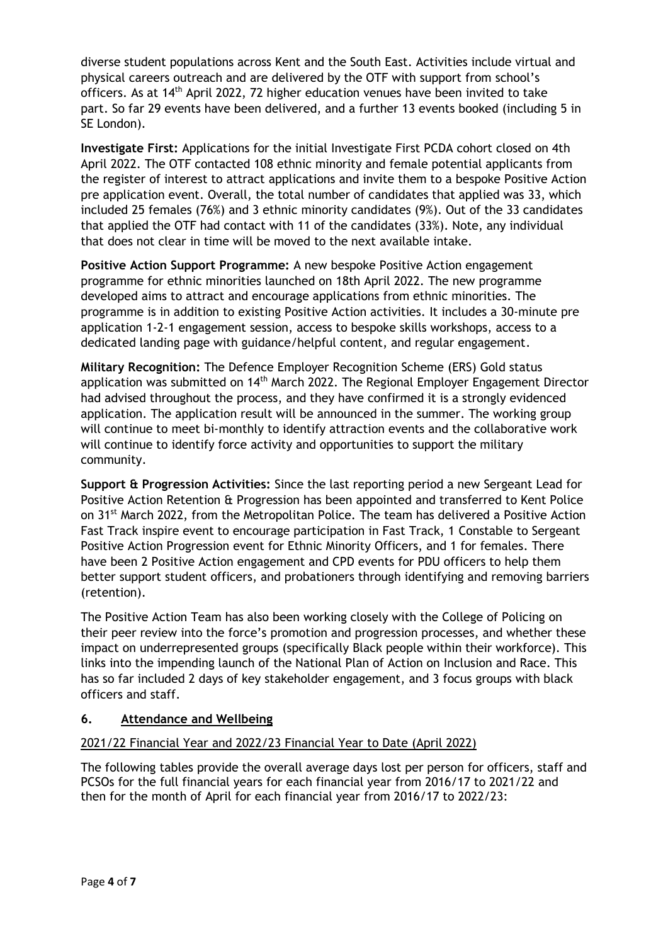diverse student populations across Kent and the South East. Activities include virtual and physical careers outreach and are delivered by the OTF with support from school's officers. As at 14th April 2022, 72 higher education venues have been invited to take part. So far 29 events have been delivered, and a further 13 events booked (including 5 in SE London).

**Investigate First:** Applications for the initial Investigate First PCDA cohort closed on 4th April 2022. The OTF contacted 108 ethnic minority and female potential applicants from the register of interest to attract applications and invite them to a bespoke Positive Action pre application event. Overall, the total number of candidates that applied was 33, which included 25 females (76%) and 3 ethnic minority candidates (9%). Out of the 33 candidates that applied the OTF had contact with 11 of the candidates (33%). Note, any individual that does not clear in time will be moved to the next available intake.

**Positive Action Support Programme:** A new bespoke Positive Action engagement programme for ethnic minorities launched on 18th April 2022. The new programme developed aims to attract and encourage applications from ethnic minorities. The programme is in addition to existing Positive Action activities. It includes a 30-minute pre application 1-2-1 engagement session, access to bespoke skills workshops, access to a dedicated landing page with guidance/helpful content, and regular engagement.

**Military Recognition:** The Defence Employer Recognition Scheme (ERS) Gold status application was submitted on 14<sup>th</sup> March 2022. The Regional Employer Engagement Director had advised throughout the process, and they have confirmed it is a strongly evidenced application. The application result will be announced in the summer. The working group will continue to meet bi-monthly to identify attraction events and the collaborative work will continue to identify force activity and opportunities to support the military community.

**Support & Progression Activities:** Since the last reporting period a new Sergeant Lead for Positive Action Retention & Progression has been appointed and transferred to Kent Police on 31st March 2022, from the Metropolitan Police. The team has delivered a Positive Action Fast Track inspire event to encourage participation in Fast Track, 1 Constable to Sergeant Positive Action Progression event for Ethnic Minority Officers, and 1 for females. There have been 2 Positive Action engagement and CPD events for PDU officers to help them better support student officers, and probationers through identifying and removing barriers (retention).

The Positive Action Team has also been working closely with the College of Policing on their peer review into the force's promotion and progression processes, and whether these impact on underrepresented groups (specifically Black people within their workforce). This links into the impending launch of the National Plan of Action on Inclusion and Race. This has so far included 2 days of key stakeholder engagement, and 3 focus groups with black officers and staff.

### **6. Attendance and Wellbeing**

# 2021/22 Financial Year and 2022/23 Financial Year to Date (April 2022)

The following tables provide the overall average days lost per person for officers, staff and PCSOs for the full financial years for each financial year from 2016/17 to 2021/22 and then for the month of April for each financial year from 2016/17 to 2022/23: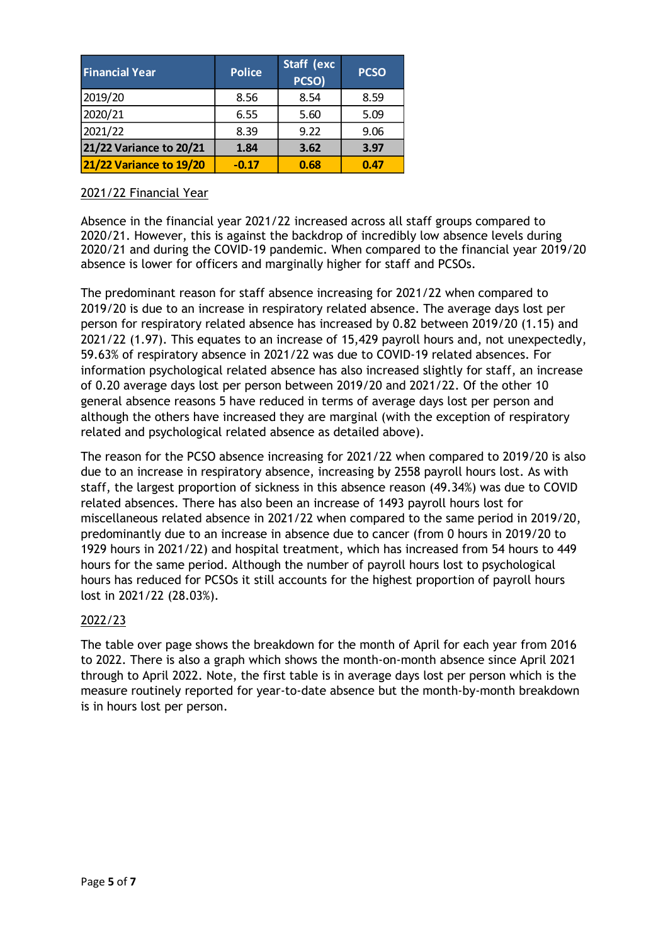| <b>Financial Year</b>          | <b>Police</b> | Staff (exc<br>PCSO) | <b>PCSO</b> |
|--------------------------------|---------------|---------------------|-------------|
| 2019/20                        | 8.56          | 8.54                | 8.59        |
| 2020/21                        | 6.55          | 5.60                | 5.09        |
| 2021/22                        | 8.39          | 9.22                | 9.06        |
| 21/22 Variance to 20/21        | 1.84          | 3.62                | 3.97        |
| <b>21/22 Variance to 19/20</b> | $-0.17$       | 0.68                | 0.47        |

### 2021/22 Financial Year

Absence in the financial year 2021/22 increased across all staff groups compared to 2020/21. However, this is against the backdrop of incredibly low absence levels during 2020/21 and during the COVID-19 pandemic. When compared to the financial year 2019/20 absence is lower for officers and marginally higher for staff and PCSOs.

The predominant reason for staff absence increasing for 2021/22 when compared to 2019/20 is due to an increase in respiratory related absence. The average days lost per person for respiratory related absence has increased by 0.82 between 2019/20 (1.15) and 2021/22 (1.97). This equates to an increase of 15,429 payroll hours and, not unexpectedly, 59.63% of respiratory absence in 2021/22 was due to COVID-19 related absences. For information psychological related absence has also increased slightly for staff, an increase of 0.20 average days lost per person between 2019/20 and 2021/22. Of the other 10 general absence reasons 5 have reduced in terms of average days lost per person and although the others have increased they are marginal (with the exception of respiratory related and psychological related absence as detailed above).

The reason for the PCSO absence increasing for 2021/22 when compared to 2019/20 is also due to an increase in respiratory absence, increasing by 2558 payroll hours lost. As with staff, the largest proportion of sickness in this absence reason (49.34%) was due to COVID related absences. There has also been an increase of 1493 payroll hours lost for miscellaneous related absence in 2021/22 when compared to the same period in 2019/20, predominantly due to an increase in absence due to cancer (from 0 hours in 2019/20 to 1929 hours in 2021/22) and hospital treatment, which has increased from 54 hours to 449 hours for the same period. Although the number of payroll hours lost to psychological hours has reduced for PCSOs it still accounts for the highest proportion of payroll hours lost in 2021/22 (28.03%).

### 2022/23

The table over page shows the breakdown for the month of April for each year from 2016 to 2022. There is also a graph which shows the month-on-month absence since April 2021 through to April 2022. Note, the first table is in average days lost per person which is the measure routinely reported for year-to-date absence but the month-by-month breakdown is in hours lost per person.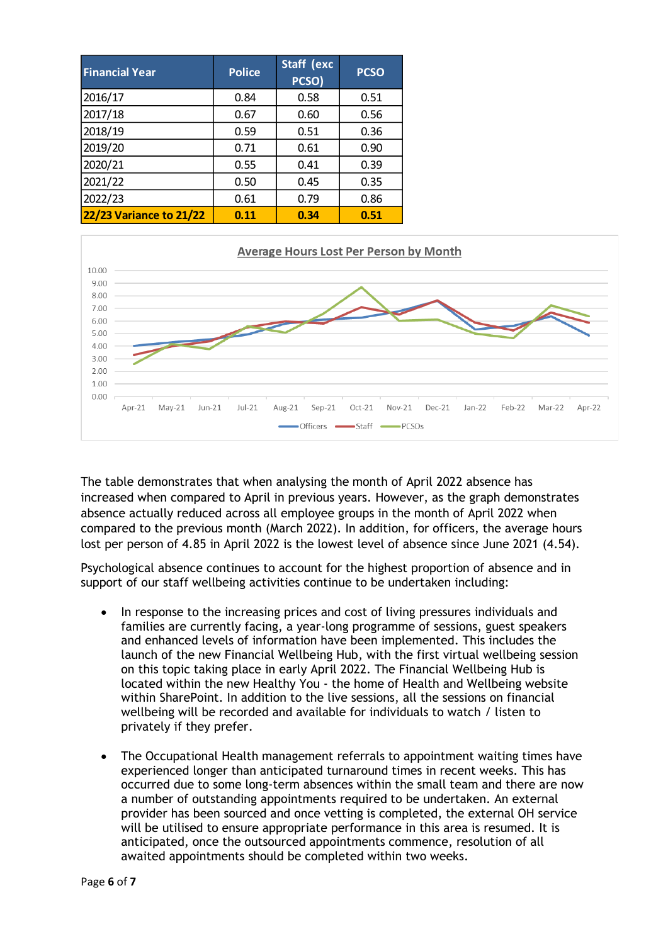| <b>Financial Year</b>          | <b>Police</b> | Staff (exc<br>PCSO) | <b>PCSO</b> |
|--------------------------------|---------------|---------------------|-------------|
| 2016/17                        | 0.84          | 0.58                | 0.51        |
| 2017/18                        | 0.67          | 0.60                | 0.56        |
| 2018/19                        | 0.59          | 0.51                | 0.36        |
| 2019/20                        | 0.71          | 0.61                | 0.90        |
| 2020/21                        | 0.55          | 0.41                | 0.39        |
| 2021/22                        | 0.50          | 0.45                | 0.35        |
| 2022/23                        | 0.61          | 0.79                | 0.86        |
| <b>22/23 Variance to 21/22</b> | 0.11          | 0.34                | 0.51        |



The table demonstrates that when analysing the month of April 2022 absence has increased when compared to April in previous years. However, as the graph demonstrates absence actually reduced across all employee groups in the month of April 2022 when compared to the previous month (March 2022). In addition, for officers, the average hours lost per person of 4.85 in April 2022 is the lowest level of absence since June 2021 (4.54).

Psychological absence continues to account for the highest proportion of absence and in support of our staff wellbeing activities continue to be undertaken including:

- In response to the increasing prices and cost of living pressures individuals and families are currently facing, a year-long programme of sessions, guest speakers and enhanced levels of information have been implemented. This includes the launch of the new Financial Wellbeing Hub, with the first virtual wellbeing session on this topic taking place in early April 2022. The Financial Wellbeing Hub is located within the new Healthy You - the home of Health and Wellbeing website within SharePoint. In addition to the live sessions, all the sessions on financial wellbeing will be recorded and available for individuals to watch / listen to privately if they prefer.
- The Occupational Health management referrals to appointment waiting times have experienced longer than anticipated turnaround times in recent weeks. This has occurred due to some long-term absences within the small team and there are now a number of outstanding appointments required to be undertaken. An external provider has been sourced and once vetting is completed, the external OH service will be utilised to ensure appropriate performance in this area is resumed. It is anticipated, once the outsourced appointments commence, resolution of all awaited appointments should be completed within two weeks.